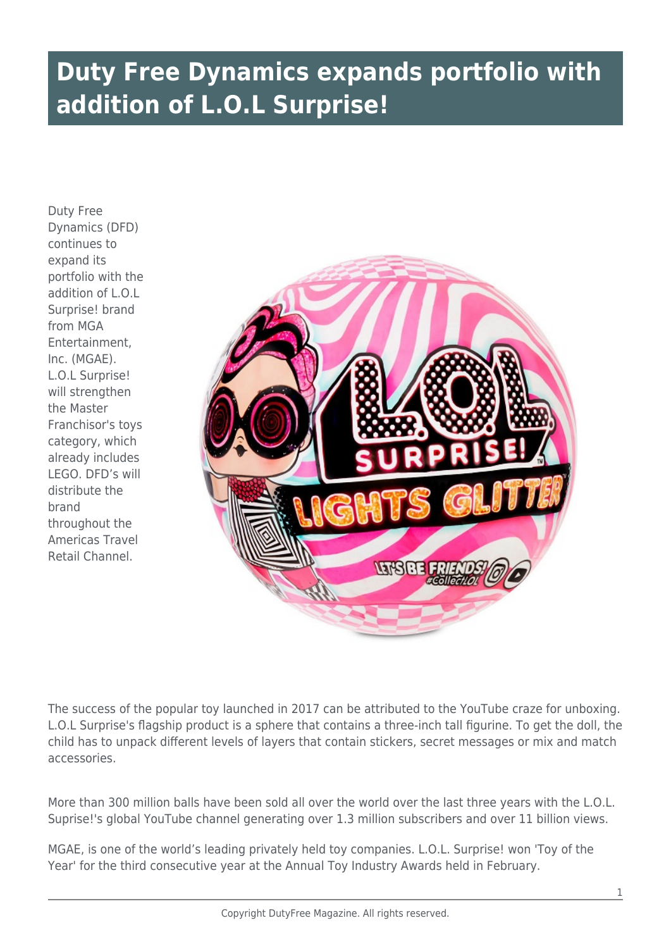## **Duty Free Dynamics expands portfolio with addition of L.O.L Surprise!**

Duty Free Dynamics (DFD) continues to expand its portfolio with the addition of L.O.L Surprise! brand from MGA **Entertainment** Inc. (MGAE). L.O.L Surprise! will strengthen the Master Franchisor's toys category, which already includes LEGO. DFD's will distribute the brand throughout the Americas Travel Retail Channel.



The success of the popular toy launched in 2017 can be attributed to the YouTube craze for unboxing. L.O.L Surprise's flagship product is a sphere that contains a three-inch tall figurine. To get the doll, the child has to unpack different levels of layers that contain stickers, secret messages or mix and match accessories.

More than 300 million balls have been sold all over the world over the last three years with the L.O.L. Suprise!'s global YouTube channel generating over 1.3 million subscribers and over 11 billion views.

MGAE, is one of the world's leading privately held toy companies. L.O.L. Surprise! won 'Toy of the Year' for the third consecutive year at the Annual Toy Industry Awards held in February.